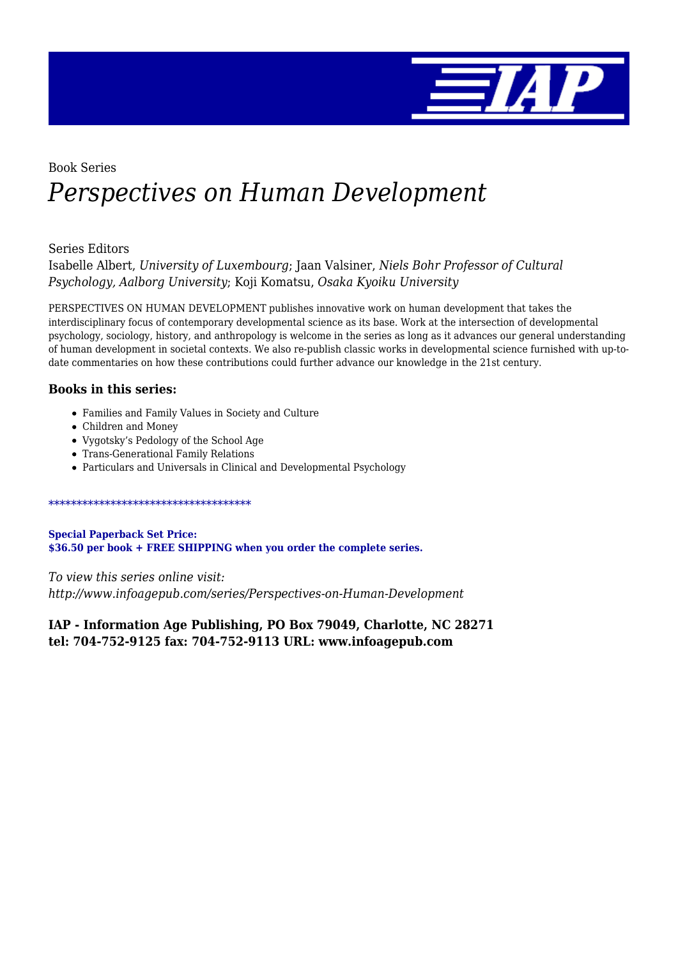

# Book Series *Perspectives on Human Development*

### Series Editors

Isabelle Albert, *University of Luxembourg*; Jaan Valsiner, *Niels Bohr Professor of Cultural Psychology, Aalborg University*; Koji Komatsu, *Osaka Kyoiku University*

PERSPECTIVES ON HUMAN DEVELOPMENT publishes innovative work on human development that takes the interdisciplinary focus of contemporary developmental science as its base. Work at the intersection of developmental psychology, sociology, history, and anthropology is welcome in the series as long as it advances our general understanding of human development in societal contexts. We also re-publish classic works in developmental science furnished with up-todate commentaries on how these contributions could further advance our knowledge in the 21st century.

### **Books in this series:**

- Families and Family Values in Society and Culture
- Children and Money
- Vygotsky's Pedology of the School Age
- Trans-Generational Family Relations
- Particulars and Universals in Clinical and Developmental Psychology

#### \*\*\*\*\*\*\*\*\*\*\*\*\*\*\*\*\*\*\*\*\*\*\*\*\*\*\*\*\*\*\*\*\*\*\*\*

**Special Paperback Set Price: \$36.50 per book + FREE SHIPPING when you order the complete series.**

*To view this series online visit: http://www.infoagepub.com/series/Perspectives-on-Human-Development*

**IAP - Information Age Publishing, PO Box 79049, Charlotte, NC 28271 tel: 704-752-9125 fax: 704-752-9113 URL: www.infoagepub.com**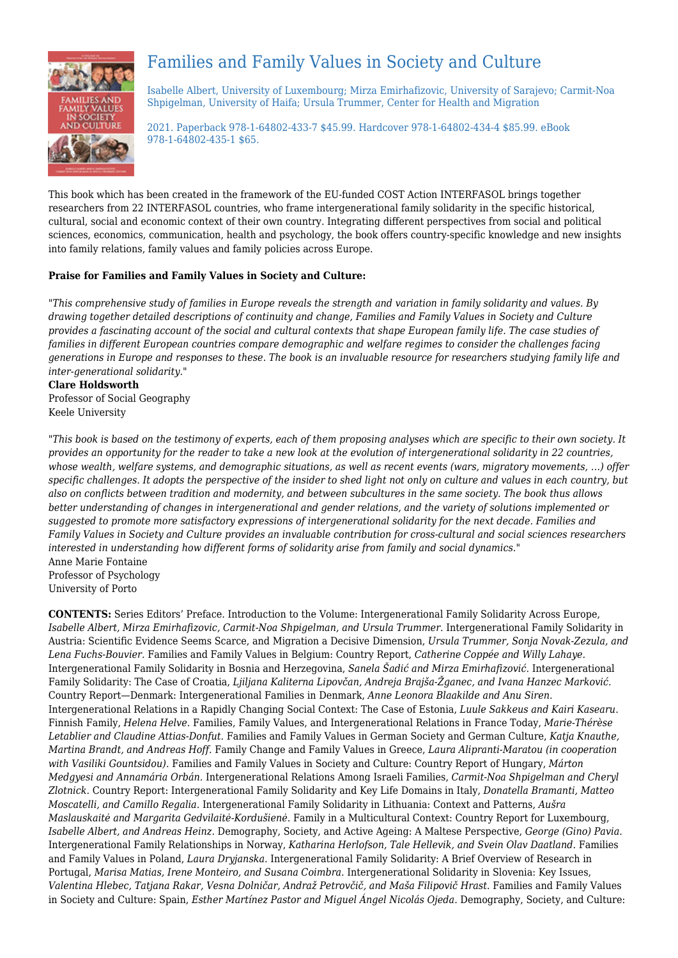

## Families and Family Values in Society and Culture

Isabelle Albert, University of Luxembourg; Mirza Emirhafizovic, University of Sarajevo; Carmit-Noa Shpigelman, University of Haifa; Ursula Trummer, Center for Health and Migration

2021. Paperback 978-1-64802-433-7 \$45.99. Hardcover 978-1-64802-434-4 \$85.99. eBook 978-1-64802-435-1 \$65.

This book which has been created in the framework of the EU-funded COST Action INTERFASOL brings together researchers from 22 INTERFASOL countries, who frame intergenerational family solidarity in the specific historical, cultural, social and economic context of their own country. Integrating different perspectives from social and political sciences, economics, communication, health and psychology, the book offers country-specific knowledge and new insights into family relations, family values and family policies across Europe.

#### **Praise for Families and Family Values in Society and Culture:**

*"This comprehensive study of families in Europe reveals the strength and variation in family solidarity and values. By drawing together detailed descriptions of continuity and change, Families and Family Values in Society and Culture provides a fascinating account of the social and cultural contexts that shape European family life. The case studies of families in different European countries compare demographic and welfare regimes to consider the challenges facing generations in Europe and responses to these. The book is an invaluable resource for researchers studying family life and inter-generational solidarity."*

#### **Clare Holdsworth**

Professor of Social Geography Keele University

*"This book is based on the testimony of experts, each of them proposing analyses which are specific to their own society. It provides an opportunity for the reader to take a new look at the evolution of intergenerational solidarity in 22 countries, whose wealth, welfare systems, and demographic situations, as well as recent events (wars, migratory movements, …) offer specific challenges. It adopts the perspective of the insider to shed light not only on culture and values in each country, but also on conflicts between tradition and modernity, and between subcultures in the same society. The book thus allows better understanding of changes in intergenerational and gender relations, and the variety of solutions implemented or suggested to promote more satisfactory expressions of intergenerational solidarity for the next decade. Families and Family Values in Society and Culture provides an invaluable contribution for cross-cultural and social sciences researchers interested in understanding how different forms of solidarity arise from family and social dynamics."* Anne Marie Fontaine Professor of Psychology

University of Porto

**CONTENTS:** Series Editors' Preface. Introduction to the Volume: Intergenerational Family Solidarity Across Europe, *Isabelle Albert, Mirza Emirhafizovic, Carmit-Noa Shpigelman, and Ursula Trummer.* Intergenerational Family Solidarity in Austria: Scientific Evidence Seems Scarce, and Migration a Decisive Dimension, *Ursula Trummer, Sonja Novak-Zezula, and Lena Fuchs-Bouvier.* Families and Family Values in Belgium: Country Report, *Catherine Coppée and Willy Lahaye.* Intergenerational Family Solidarity in Bosnia and Herzegovina, *Sanela Šadić and Mirza Emirhafizović.* Intergenerational Family Solidarity: The Case of Croatia, *Ljiljana Kaliterna Lipovčan, Andreja Brajša-Žganec, and Ivana Hanzec Marković.* Country Report—Denmark: Intergenerational Families in Denmark, *Anne Leonora Blaakilde and Anu Siren.* Intergenerational Relations in a Rapidly Changing Social Context: The Case of Estonia, *Luule Sakkeus and Kairi Kasearu.* Finnish Family, *Helena Helve.* Families, Family Values, and Intergenerational Relations in France Today, *Marie-Thérèse Letablier and Claudine Attias-Donfut.* Families and Family Values in German Society and German Culture, *Katja Knauthe, Martina Brandt, and Andreas Hoff.* Family Change and Family Values in Greece, *Laura Alipranti-Maratou (in cooperation with Vasiliki Gountsidou).* Families and Family Values in Society and Culture: Country Report of Hungary, *Márton Medgyesi and Annamária Orbán.* Intergenerational Relations Among Israeli Families, *Carmit-Noa Shpigelman and Cheryl Zlotnick.* Country Report: Intergenerational Family Solidarity and Key Life Domains in Italy, *Donatella Bramanti, Matteo Moscatelli, and Camillo Regalia.* Intergenerational Family Solidarity in Lithuania: Context and Patterns, *Aušra Maslauskaitė and Margarita Gedvilaitė-Kordušienė.* Family in a Multicultural Context: Country Report for Luxembourg, *Isabelle Albert, and Andreas Heinz.* Demography, Society, and Active Ageing: A Maltese Perspective, *George (Gino) Pavia.* Intergenerational Family Relationships in Norway, *Katharina Herlofson, Tale Hellevik, and Svein Olav Daatland.* Families and Family Values in Poland, *Laura Dryjanska.* Intergenerational Family Solidarity: A Brief Overview of Research in Portugal, *Marisa Matias, Irene Monteiro, and Susana Coimbra.* Intergenerational Solidarity in Slovenia: Key Issues, *Valentina Hlebec, Tatjana Rakar, Vesna Dolničar, Andraž Petrovčič, and Maša Filipovič Hrast.* Families and Family Values in Society and Culture: Spain, *Esther Martínez Pastor and Miguel Ángel Nicolás Ojeda.* Demography, Society, and Culture: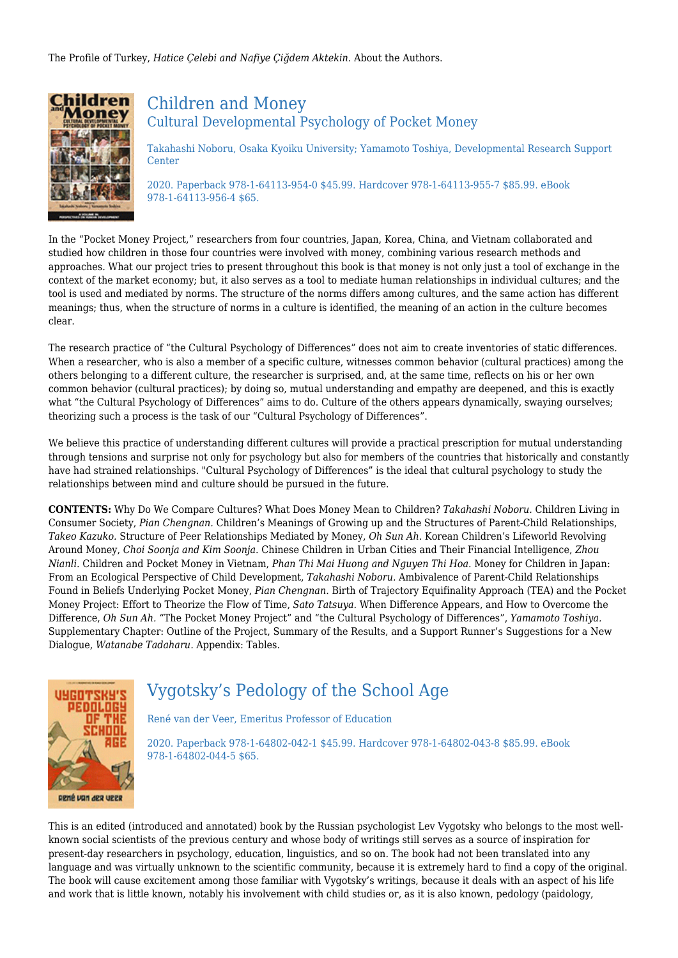The Profile of Turkey, *Hatice Çelebi and Nafiye Çiğdem Aktekin.* About the Authors.



## Children and Money Cultural Developmental Psychology of Pocket Money

Takahashi Noboru, Osaka Kyoiku University; Yamamoto Toshiya, Developmental Research Support **Center** 

2020. Paperback 978-1-64113-954-0 \$45.99. Hardcover 978-1-64113-955-7 \$85.99. eBook 978-1-64113-956-4 \$65.

In the "Pocket Money Project," researchers from four countries, Japan, Korea, China, and Vietnam collaborated and studied how children in those four countries were involved with money, combining various research methods and approaches. What our project tries to present throughout this book is that money is not only just a tool of exchange in the context of the market economy; but, it also serves as a tool to mediate human relationships in individual cultures; and the tool is used and mediated by norms. The structure of the norms differs among cultures, and the same action has different meanings; thus, when the structure of norms in a culture is identified, the meaning of an action in the culture becomes clear.

The research practice of "the Cultural Psychology of Differences" does not aim to create inventories of static differences. When a researcher, who is also a member of a specific culture, witnesses common behavior (cultural practices) among the others belonging to a different culture, the researcher is surprised, and, at the same time, reflects on his or her own common behavior (cultural practices); by doing so, mutual understanding and empathy are deepened, and this is exactly what "the Cultural Psychology of Differences" aims to do. Culture of the others appears dynamically, swaying ourselves; theorizing such a process is the task of our "Cultural Psychology of Differences".

We believe this practice of understanding different cultures will provide a practical prescription for mutual understanding through tensions and surprise not only for psychology but also for members of the countries that historically and constantly have had strained relationships. "Cultural Psychology of Differences" is the ideal that cultural psychology to study the relationships between mind and culture should be pursued in the future.

**CONTENTS:** Why Do We Compare Cultures? What Does Money Mean to Children? *Takahashi Noboru.* Children Living in Consumer Society, *Pian Chengnan.* Children's Meanings of Growing up and the Structures of Parent-Child Relationships, *Takeo Kazuko.* Structure of Peer Relationships Mediated by Money, *Oh Sun Ah.* Korean Children's Lifeworld Revolving Around Money, *Choi Soonja and Kim Soonja.* Chinese Children in Urban Cities and Their Financial Intelligence, *Zhou Nianli.* Children and Pocket Money in Vietnam, *Phan Thi Mai Huong and Nguyen Thi Hoa.* Money for Children in Japan: From an Ecological Perspective of Child Development, *Takahashi Noboru.* Ambivalence of Parent-Child Relationships Found in Beliefs Underlying Pocket Money, *Pian Chengnan.* Birth of Trajectory Equifinality Approach (TEA) and the Pocket Money Project: Effort to Theorize the Flow of Time, *Sato Tatsuya.* When Difference Appears, and How to Overcome the Difference, *Oh Sun Ah.* "The Pocket Money Project" and "the Cultural Psychology of Differences", *Yamamoto Toshiya.* Supplementary Chapter: Outline of the Project, Summary of the Results, and a Support Runner's Suggestions for a New Dialogue, *Watanabe Tadaharu.* Appendix: Tables.



## Vygotsky's Pedology of the School Age

René van der Veer, Emeritus Professor of Education

2020. Paperback 978-1-64802-042-1 \$45.99. Hardcover 978-1-64802-043-8 \$85.99. eBook 978-1-64802-044-5 \$65.

This is an edited (introduced and annotated) book by the Russian psychologist Lev Vygotsky who belongs to the most wellknown social scientists of the previous century and whose body of writings still serves as a source of inspiration for present-day researchers in psychology, education, linguistics, and so on. The book had not been translated into any language and was virtually unknown to the scientific community, because it is extremely hard to find a copy of the original. The book will cause excitement among those familiar with Vygotsky's writings, because it deals with an aspect of his life and work that is little known, notably his involvement with child studies or, as it is also known, pedology (paidology,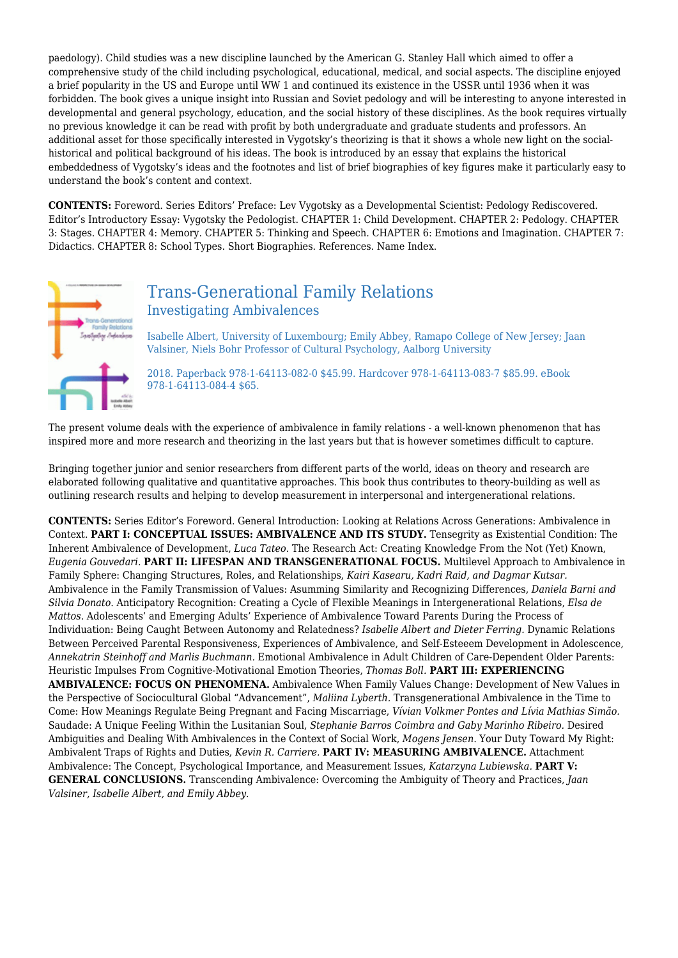paedology). Child studies was a new discipline launched by the American G. Stanley Hall which aimed to offer a comprehensive study of the child including psychological, educational, medical, and social aspects. The discipline enjoyed a brief popularity in the US and Europe until WW 1 and continued its existence in the USSR until 1936 when it was forbidden. The book gives a unique insight into Russian and Soviet pedology and will be interesting to anyone interested in developmental and general psychology, education, and the social history of these disciplines. As the book requires virtually no previous knowledge it can be read with profit by both undergraduate and graduate students and professors. An additional asset for those specifically interested in Vygotsky's theorizing is that it shows a whole new light on the socialhistorical and political background of his ideas. The book is introduced by an essay that explains the historical embeddedness of Vygotsky's ideas and the footnotes and list of brief biographies of key figures make it particularly easy to understand the book's content and context.

**CONTENTS:** Foreword. Series Editors' Preface: Lev Vygotsky as a Developmental Scientist: Pedology Rediscovered. Editor's Introductory Essay: Vygotsky the Pedologist. CHAPTER 1: Child Development. CHAPTER 2: Pedology. CHAPTER 3: Stages. CHAPTER 4: Memory. CHAPTER 5: Thinking and Speech. CHAPTER 6: Emotions and Imagination. CHAPTER 7: Didactics. CHAPTER 8: School Types. Short Biographies. References. Name Index.



## Trans-Generational Family Relations Investigating Ambivalences

Isabelle Albert, University of Luxembourg; Emily Abbey, Ramapo College of New Jersey; Jaan Valsiner, Niels Bohr Professor of Cultural Psychology, Aalborg University

2018. Paperback 978-1-64113-082-0 \$45.99. Hardcover 978-1-64113-083-7 \$85.99. eBook 978-1-64113-084-4 \$65.

The present volume deals with the experience of ambivalence in family relations - a well-known phenomenon that has inspired more and more research and theorizing in the last years but that is however sometimes difficult to capture.

Bringing together junior and senior researchers from different parts of the world, ideas on theory and research are elaborated following qualitative and quantitative approaches. This book thus contributes to theory-building as well as outlining research results and helping to develop measurement in interpersonal and intergenerational relations.

**CONTENTS:** Series Editor's Foreword. General Introduction: Looking at Relations Across Generations: Ambivalence in Context. **PART I: CONCEPTUAL ISSUES: AMBIVALENCE AND ITS STUDY.** Tensegrity as Existential Condition: The Inherent Ambivalence of Development, *Luca Tateo.* The Research Act: Creating Knowledge From the Not (Yet) Known, *Eugenia Gouvedari.* **PART II: LIFESPAN AND TRANSGENERATIONAL FOCUS.** Multilevel Approach to Ambivalence in Family Sphere: Changing Structures, Roles, and Relationships, *Kairi Kasearu, Kadri Raid, and Dagmar Kutsar.* Ambivalence in the Family Transmission of Values: Asumming Similarity and Recognizing Differences, *Daniela Barni and Silvia Donato.* Anticipatory Recognition: Creating a Cycle of Flexible Meanings in Intergenerational Relations, *Elsa de Mattos.* Adolescents' and Emerging Adults' Experience of Ambivalence Toward Parents During the Process of Individuation: Being Caught Between Autonomy and Relatedness? *Isabelle Albert and Dieter Ferring.* Dynamic Relations Between Perceived Parental Responsiveness, Experiences of Ambivalence, and Self-Esteeem Development in Adolescence, *Annekatrin Steinhoff and Marlis Buchmann.* Emotional Ambivalence in Adult Children of Care-Dependent Older Parents: Heuristic Impulses From Cognitive-Motivational Emotion Theories, *Thomas Boll.* **PART III: EXPERIENCING AMBIVALENCE: FOCUS ON PHENOMENA.** Ambivalence When Family Values Change: Development of New Values in the Perspective of Sociocultural Global "Advancement", *Maliina Lyberth.* Transgenerational Ambivalence in the Time to Come: How Meanings Regulate Being Pregnant and Facing Miscarriage, *Vívian Volkmer Pontes and Lívia Mathias Simão.* Saudade: A Unique Feeling Within the Lusitanian Soul, *Stephanie Barros Coimbra and Gaby Marinho Ribeiro.* Desired Ambiguities and Dealing With Ambivalences in the Context of Social Work, *Mogens Jensen.* Your Duty Toward My Right: Ambivalent Traps of Rights and Duties, *Kevin R. Carriere.* **PART IV: MEASURING AMBIVALENCE.** Attachment Ambivalence: The Concept, Psychological Importance, and Measurement Issues, *Katarzyna Lubiewska.* **PART V: GENERAL CONCLUSIONS.** Transcending Ambivalence: Overcoming the Ambiguity of Theory and Practices, *Jaan Valsiner, Isabelle Albert, and Emily Abbey.*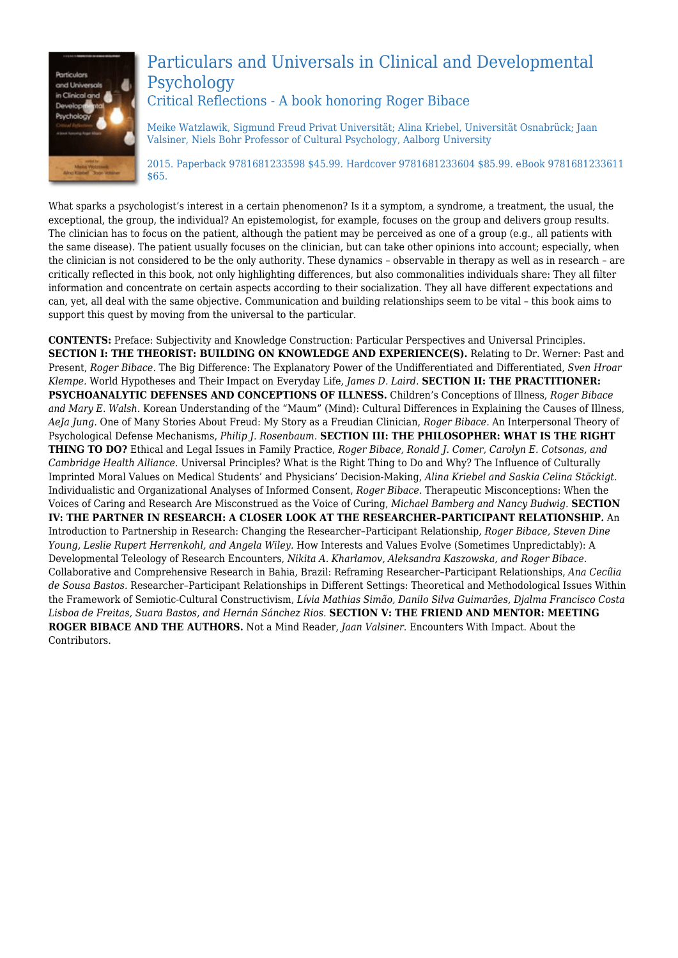

## Particulars and Universals in Clinical and Developmental Psychology Critical Reflections - A book honoring Roger Bibace

Meike Watzlawik, Sigmund Freud Privat Universität; Alina Kriebel, Universität Osnabrück; Jaan Valsiner, Niels Bohr Professor of Cultural Psychology, Aalborg University

2015. Paperback 9781681233598 \$45.99. Hardcover 9781681233604 \$85.99. eBook 9781681233611 \$65.

What sparks a psychologist's interest in a certain phenomenon? Is it a symptom, a syndrome, a treatment, the usual, the exceptional, the group, the individual? An epistemologist, for example, focuses on the group and delivers group results. The clinician has to focus on the patient, although the patient may be perceived as one of a group (e.g., all patients with the same disease). The patient usually focuses on the clinician, but can take other opinions into account; especially, when the clinician is not considered to be the only authority. These dynamics – observable in therapy as well as in research – are critically reflected in this book, not only highlighting differences, but also commonalities individuals share: They all filter information and concentrate on certain aspects according to their socialization. They all have different expectations and can, yet, all deal with the same objective. Communication and building relationships seem to be vital – this book aims to support this quest by moving from the universal to the particular.

**CONTENTS:** Preface: Subjectivity and Knowledge Construction: Particular Perspectives and Universal Principles. **SECTION I: THE THEORIST: BUILDING ON KNOWLEDGE AND EXPERIENCE(S).** Relating to Dr. Werner: Past and Present, *Roger Bibace.* The Big Difference: The Explanatory Power of the Undifferentiated and Differentiated, *Sven Hroar Klempe.* World Hypotheses and Their Impact on Everyday Life, *James D. Laird.* **SECTION II: THE PRACTITIONER: PSYCHOANALYTIC DEFENSES AND CONCEPTIONS OF ILLNESS.** Children's Conceptions of Illness, *Roger Bibace and Mary E. Walsh.* Korean Understanding of the "Maum" (Mind): Cultural Differences in Explaining the Causes of Illness, *AeJa Jung.* One of Many Stories About Freud: My Story as a Freudian Clinician, *Roger Bibace.* An Interpersonal Theory of Psychological Defense Mechanisms, *Philip J. Rosenbaum.* **SECTION III: THE PHILOSOPHER: WHAT IS THE RIGHT THING TO DO?** Ethical and Legal Issues in Family Practice, *Roger Bibace, Ronald J. Comer, Carolyn E. Cotsonas, and Cambridge Health Alliance.* Universal Principles? What is the Right Thing to Do and Why? The Influence of Culturally Imprinted Moral Values on Medical Students' and Physicians' Decision-Making, *Alina Kriebel and Saskia Celina Stöckigt.* Individualistic and Organizational Analyses of Informed Consent, *Roger Bibace.* Therapeutic Misconceptions: When the Voices of Caring and Research Are Misconstrued as the Voice of Curing, *Michael Bamberg and Nancy Budwig.* **SECTION IV: THE PARTNER IN RESEARCH: A CLOSER LOOK AT THE RESEARCHER–PARTICIPANT RELATIONSHIP.** An Introduction to Partnership in Research: Changing the Researcher–Participant Relationship, *Roger Bibace, Steven Dine Young, Leslie Rupert Herrenkohl, and Angela Wiley.* How Interests and Values Evolve (Sometimes Unpredictably): A Developmental Teleology of Research Encounters, *Nikita A. Kharlamov, Aleksandra Kaszowska, and Roger Bibace.* Collaborative and Comprehensive Research in Bahia, Brazil: Reframing Researcher–Participant Relationships, *Ana Cecília de Sousa Bastos.* Researcher–Participant Relationships in Different Settings: Theoretical and Methodological Issues Within the Framework of Semiotic-Cultural Constructivism, *Lívia Mathias Simão, Danilo Silva Guimarães, Djalma Francisco Costa Lisboa de Freitas, Suara Bastos, and Hernán Sánchez Rios.* **SECTION V: THE FRIEND AND MENTOR: MEETING ROGER BIBACE AND THE AUTHORS.** Not a Mind Reader, *Jaan Valsiner.* Encounters With Impact. About the Contributors.